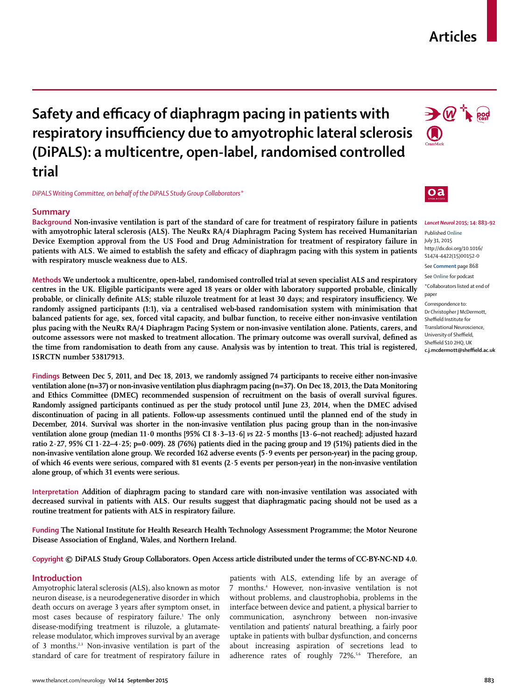# **Articles**

 $\rightarrow \omega$   $\rightarrow$  Road

# Safety and efficacy of diaphragm pacing in patients with respiratory insufficiency due to amyotrophic lateral sclerosis **(DiPALS): a multicentre, open-label, randomised controlled trial**

*DiPALS Writing Committee, on behalf of the DiPALS Study Group Collaborators\**

# **Summary**

**Background Non-invasive ventilation is part of the standard of care for treatment of respiratory failure in patients with amyotrophic lateral sclerosis (ALS). The NeuRx RA/4 Diaphragm Pacing System has received Humanitarian Device Exemption approval from the US Food and Drug Administration for treatment of respiratory failure in**  patients with ALS. We aimed to establish the safety and efficacy of diaphragm pacing with this system in patients **with respiratory muscle weakness due to ALS.**

**Methods We undertook a multicentre, open-label, randomised controlled trial at seven specialist ALS and respiratory centres in the UK. Eligible participants were aged 18 years or older with laboratory supported probable, clinically**  probable, or clinically definite ALS; stable riluzole treatment for at least 30 days; and respiratory insufficiency. We **randomly assigned participants (1:1), via a centralised web-based randomisation system with minimisation that balanced patients for age, sex, forced vital capacity, and bulbar function, to receive either non-invasive ventilation plus pacing with the NeuRx RA/4 Diaphragm Pacing System or non-invasive ventilation alone. Patients, carers, and**  outcome assessors were not masked to treatment allocation. The primary outcome was overall survival, defined as **the time from randomisation to death from any cause. Analysis was by intention to treat. This trial is registered, ISRCTN number 53817913.**

**Findings Between Dec 5, 2011, and Dec 18, 2013, we randomly assigned 74 participants to receive either non-invasive ventilation alone (n=37) or non-invasive ventilation plus diaphragm pacing (n=37). On Dec 18, 2013, the Data Monitoring** and Ethics Committee (DMEC) recommended suspension of recruitment on the basis of overall survival figures. **Randomly assigned participants continued as per the study protocol until June 23, 2014, when the DMEC advised discontinuation of pacing in all patients. Follow-up assessments continued until the planned end of the study in December, 2014. Survival was shorter in the non-invasive ventilation plus pacing group than in the non-invasive ventilation alone group (median 11·0 months [95% CI 8·3–13·6]** *vs* **22·5 months [13·6–not reached]; adjusted hazard ratio 2·27, 95% CI 1·22–4·25; p=0·009). 28 (76%) patients died in the pacing group and 19 (51%) patients died in the non-invasive ventilation alone group. We recorded 162 adverse events (5·9 events per person-year) in the pacing group, of which 46 events were serious, compared with 81 events (2·5 events per person-year) in the non-invasive ventilation alone group, of which 31 events were serious.**

**Interpretation Addition of diaphragm pacing to standard care with non-invasive ventilation was associated with decreased survival in patients with ALS. Our results suggest that diaphragmatic pacing should not be used as a routine treatment for patients with ALS in respiratory failure.**

**Funding The National Institute for Health Research Health Technology Assessment Programme; the Motor Neurone Disease Association of England, Wales, and Northern Ireland.**

# **Copyright © DiPALS Study Group Collaborators. Open Access article distributed under the terms of CC-BY-NC-ND 4.0.**

# **Introduction**

Amyotrophic lateral sclerosis (ALS), also known as motor neuron disease, is a neurodegenerative disorder in which death occurs on average 3 years after symptom onset, in most cases because of respiratory failure.1 The only disease-modifying treatment is riluzole, a glutamaterelease modulator, which improves survival by an average of 3 months.2,3 Non-invasive ventilation is part of the standard of care for treatment of respiratory failure in

patients with ALS, extending life by an average of 7 months.4 However, non-invasive ventilation is not without problems, and claustrophobia, problems in the interface between device and patient, a physical barrier to communication, asynchrony between non-invasive ventilation and patients' natural breathing, a fairly poor uptake in patients with bulbar dysfunction, and concerns about increasing aspiration of secretions lead to adherence rates of roughly 72%.<sup>5,6</sup> Therefore, an

# *Lancet Neurol* **2015; 14: 883–92**

Published **Online** July 31, 2015 http://dx.doi.org/10.1016/ S1474-4422(15)00152-0 See **Comment** page 868

See **Online** for podcast

\*Collaborators listed at end of paper

Correspondence to: Dr Christopher J McDermott, Sheffield Institute for Translational Neuroscience, University of Sheffield, Sheffield S10 2HO, UK **c.j.mcdermott@sheffi eld.ac.uk**

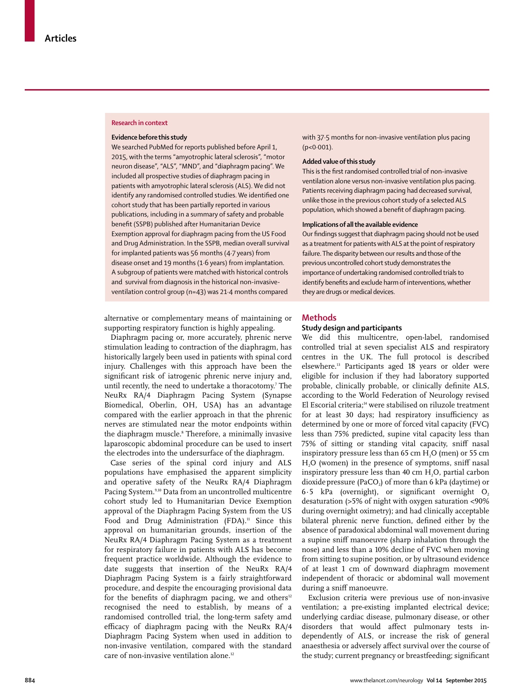## **Research in context**

## **Evidence before this study**

We searched PubMed for reports published before April 1, 2015, with the terms "amyotrophic lateral sclerosis", "motor neuron disease", "ALS", "MND", and "diaphragm pacing". We included all prospective studies of diaphragm pacing in patients with amyotrophic lateral sclerosis (ALS). We did not identify any randomised controlled studies. We identified one cohort study that has been partially reported in various publications, including in a summary of safety and probable benefit (SSPB) published after Humanitarian Device Exemption approval for diaphragm pacing from the US Food and Drug Administration. In the SSPB, median overall survival for implanted patients was 56 months (4·7 years) from disease onset and 19 months (1·6 years) from implantation. A subgroup of patients were matched with historical controls and survival from diagnosis in the historical non-invasiveventilation control group (n=43) was 21·4 months compared

alternative or complementary means of maintaining or supporting respiratory function is highly appealing.

Diaphragm pacing or, more accurately, phrenic nerve stimulation leading to contraction of the diaphragm, has historically largely been used in patients with spinal cord injury. Challenges with this approach have been the significant risk of iatrogenic phrenic nerve injury and, until recently, the need to undertake a thoracotomy.7 The NeuRx RA/4 Diaphragm Pacing System (Synapse Biomedical, Oberlin, OH, USA) has an advantage compared with the earlier approach in that the phrenic nerves are stimulated near the motor endpoints within the diaphragm muscle.8 Therefore, a minimally invasive laparoscopic abdominal procedure can be used to insert the electrodes into the undersurface of the diaphragm.

Case series of the spinal cord injury and ALS populations have emphasised the apparent simplicity and operative safety of the NeuRx RA/4 Diaphragm Pacing System.<sup>9,10</sup> Data from an uncontrolled multicentre cohort study led to Humanitarian Device Exemption approval of the Diaphragm Pacing System from the US Food and Drug Administration (FDA).<sup>11</sup> Since this approval on humanitarian grounds, insertion of the NeuRx RA/4 Diaphragm Pacing System as a treatment for respiratory failure in patients with ALS has become frequent practice worldwide. Although the evidence to date suggests that insertion of the NeuRx RA/4 Diaphragm Pacing System is a fairly straightforward procedure, and despite the encouraging provisional data for the benefits of diaphragm pacing, we and others<sup>12</sup> recognised the need to establish, by means of a randomised controlled trial, the long-term safety amd efficacy of diaphragm pacing with the NeuRx RA/4 Diaphragm Pacing System when used in addition to non-invasive ventilation, compared with the standard care of non-invasive ventilation alone.<sup>12</sup>

with 37·5 months for non-invasive ventilation plus pacing (p<0·001).

# **Added value of this study**

This is the first randomised controlled trial of non-invasive ventilation alone versus non-invasive ventilation plus pacing. Patients receiving diaphragm pacing had decreased survival, unlike those in the previous cohort study of a selected ALS population, which showed a benefit of diaphragm pacing.

## **Implications of all the available evidence**

Our findings suggest that diaphragm pacing should not be used as a treatment for patients with ALS at the point of respiratory failure. The disparity between our results and those of the previous uncontrolled cohort study demonstrates the importance of undertaking randomised controlled trials to identify benefits and exclude harm of interventions, whether they are drugs or medical devices.

## **Methods**

## **Study design and participants**

We did this multicentre, open-label, randomised controlled trial at seven specialist ALS and respiratory centres in the UK. The full protocol is described elsewhere.13 Participants aged 18 years or older were eligible for inclusion if they had laboratory supported probable, clinically probable, or clinically definite ALS, according to the World Federation of Neurology revised El Escorial criteria;<sup>14</sup> were stabilised on riluzole treatment for at least 30 days; had respiratory insufficiency as determined by one or more of forced vital capacity (FVC) less than 75% predicted, supine vital capacity less than 75% of sitting or standing vital capacity, sniff nasal inspiratory pressure less than  $65 \text{ cm}$  H<sub>2</sub>O (men) or  $55 \text{ cm}$ H2O (women) in the presence of symptoms, sniff nasal inspiratory pressure less than 40 cm H<sub>2</sub>O, partial carbon dioxide pressure (PaCO<sub>2</sub>) of more than 6 kPa (daytime) or 6.5 kPa (overnight), or significant overnight  $O_2$ desaturation (>5% of night with oxygen saturation <90% during overnight oximetry); and had clinically acceptable bilateral phrenic nerve function, defined either by the absence of paradoxical abdominal wall movement during a supine sniff manoeuvre (sharp inhalation through the nose) and less than a 10% decline of FVC when moving from sitting to supine position, or by ultrasound evidence of at least 1 cm of downward diaphragm movement independent of thoracic or abdominal wall movement during a sniff manoeuvre.

Exclusion criteria were previous use of non-invasive ventilation; a pre-existing implanted electrical device; underlying cardiac disease, pulmonary disease, or other disorders that would affect pulmonary tests independently of ALS, or increase the risk of general anaesthesia or adversely affect survival over the course of the study; current pregnancy or breastfeeding; significant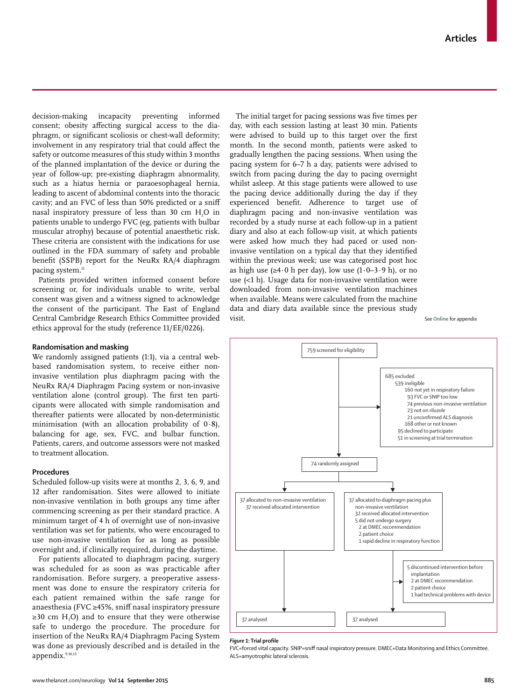decision-making incapacity preventing informed consent; obesity affecting surgical access to the diaphragm, or significant scoliosis or chest-wall deformity; involvement in any respiratory trial that could affect the safety or outcome measures of this study within 3 months of the planned implantation of the device or during the year of follow-up; pre-existing diaphragm abnormality, such as a hiatus hernia or paraoesophageal hernia, leading to ascent of abdominal contents into the thoracic cavity; and an FVC of less than 50% predicted or a sniff nasal inspiratory pressure of less than 30 cm H<sub>2</sub>O in patients unable to undergo FVC (eg, patients with bulbar muscular atrophy) because of potential anaesthetic risk. These criteria are consistent with the indications for use outlined in the FDA summary of safety and probable benefit (SSPB) report for the NeuRx RA/4 diaphragm pacing system.<sup>11</sup>

Patients provided written informed consent before screening or, for individuals unable to write, verbal consent was given and a witness signed to acknowledge the consent of the participant. The East of England Central Cambridge Research Ethics Committee provided ethics approval for the study (reference 11/EE/0226).

The initial target for pacing sessions was five times per day, with each session lasting at least 30 min. Patients were advised to build up to this target over the first month. In the second month, patients were asked to gradually lengthen the pacing sessions. When using the pacing system for 6–7 h a day, patients were advised to switch from pacing during the day to pacing overnight whilst asleep. At this stage patients were allowed to use the pacing device additionally during the day if they experienced benefit. Adherence to target use of diaphragm pacing and non-invasive ventilation was recorded by a study nurse at each follow-up in a patient diary and also at each follow-up visit, at which patients were asked how much they had paced or used noninvasive ventilation on a typical day that they identified within the previous week; use was categorised post hoc as high use  $(\geq 4.0 \text{ h per day})$ , low use  $(1.0-3.9 \text{ h})$ , or no use (<1 h). Usage data for non-invasive ventilation were downloaded from non-invasive ventilation machines when available. Means were calculated from the machine data and diary data available since the previous study visit.

See **Online** for appendix

## **Randomisation and masking**

We randomly assigned patients (1:1), via a central webbased randomisation system, to receive either noninvasive ventilation plus diaphragm pacing with the NeuRx RA/4 Diaphragm Pacing system or non-invasive ventilation alone (control group). The first ten participants were allocated with simple randomisation and thereafter patients were allocated by non-deterministic minimisation (with an allocation probability of 0·8), balancing for age, sex, FVC, and bulbar function. Patients, carers, and outcome assessors were not masked to treatment allocation.

# **Procedures**

Scheduled follow-up visits were at months 2, 3, 6, 9, and 12 after randomisation. Sites were allowed to initiate non-invasive ventilation in both groups any time after commencing screening as per their standard practice. A minimum target of 4 h of overnight use of non-invasive ventilation was set for patients, who were encouraged to use non-invasive ventilation for as long as possible overnight and, if clinically required, during the daytime.

For patients allocated to diaphragm pacing, surgery was scheduled for as soon as was practicable after randomisation. Before surgery, a preoperative assessment was done to ensure the respiratory criteria for each patient remained within the safe range for anaesthesia (FVC ≥45%, sniff nasal inspiratory pressure  $\geq$ 30 cm H<sub>2</sub>O) and to ensure that they were otherwise safe to undergo the procedure. The procedure for insertion of the NeuRx RA/4 Diaphragm Pacing System was done as previously described and is detailed in the appendix.9,10,13



#### **Figure 1: Trial profile**

FVC=forced vital capacity. SNIP=sniff nasal inspiratory pressure. DMEC=Data Monitoring and Ethics Committee. ALS=amyotrophic lateral sclerosis.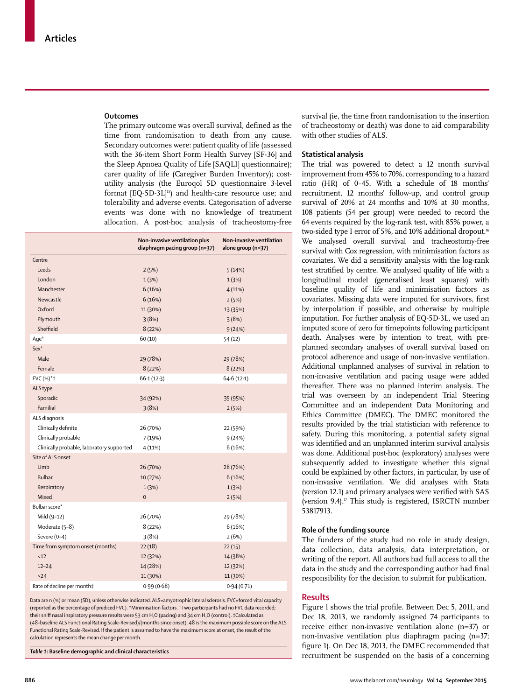## **Outcomes**

The primary outcome was overall survival, defined as the time from randomisation to death from any cause. Secondary outcomes were: patient quality of life (assessed with the 36-item Short Form Health Survey [SF-36] and the Sleep Apnoea Quality of Life [SAQLI] questionnaire); carer quality of life (Caregiver Burden Inventory); costutility analysis (the Euroqol 5D questionnaire 3-level format [EQ-5D-3L]<sup>15</sup>) and health-care resource use; and tolerability and adverse events. Categorisation of adverse events was done with no knowledge of treatment allocation. A post-hoc analysis of tracheostomy-free

|                                           | Non-invasive ventilation plus<br>diaphragm pacing group (n=37) | Non-invasive ventilation<br>alone group (n=37) |
|-------------------------------------------|----------------------------------------------------------------|------------------------------------------------|
| Centre                                    |                                                                |                                                |
| Leeds                                     | 2(5%)                                                          | 5(14%)                                         |
| London                                    | 1(3%)                                                          | 1(3%)                                          |
| Manchester                                | 6(16%)                                                         | 4(11%)                                         |
| Newcastle                                 | 6(16%)                                                         | 2(5%)                                          |
| Oxford                                    | 11 (30%)                                                       | 13 (35%)                                       |
| Plymouth                                  | 3(8%)                                                          | 3(8%)                                          |
| Sheffield                                 | 8(22%)                                                         | 9(24%)                                         |
| Age*                                      | 60(10)                                                         | 54 (12)                                        |
| Sex <sup>*</sup>                          |                                                                |                                                |
| Male                                      | 29 (78%)                                                       | 29 (78%)                                       |
| Female                                    | 8(22%)                                                         | 8(22%)                                         |
| FVC (%)*†                                 | 66.1(12.3)                                                     | 64.6(12.1)                                     |
| ALS type                                  |                                                                |                                                |
| Sporadic                                  | 34 (92%)                                                       | 35 (95%)                                       |
| Familial                                  | 3(8%)                                                          | 2(5%)                                          |
| ALS diagnosis                             |                                                                |                                                |
| Clinically definite                       | 26 (70%)                                                       | 22 (59%)                                       |
| Clinically probable                       | 7 (19%)                                                        | 9(24%)                                         |
| Clinically probable, laboratory supported | 4(11%)                                                         | 6(16%)                                         |
| Site of ALS onset                         |                                                                |                                                |
| Limb                                      | 26 (70%)                                                       | 28 (76%)                                       |
| <b>Bulbar</b>                             | 10 (27%)                                                       | 6(16%)                                         |
| Respiratory                               | 1(3%)                                                          | 1(3%)                                          |
| Mixed                                     | $\mathbf{0}$                                                   | 2(5%)                                          |
| Bulbar score*                             |                                                                |                                                |
| Mild (9-12)                               | 26 (70%)                                                       | 29 (78%)                                       |
| Moderate (5-8)                            | 8(22%)                                                         | 6 (16%)                                        |
| Severe (0-4)                              | 3(8%)                                                          | 2(6%)                                          |
| Time from symptom onset (months)          | 22(18)                                                         | 22(15)                                         |
| < 12                                      | 12 (32%)                                                       | 14 (38%)                                       |
| $12 - 24$                                 | 14 (28%)                                                       | 12 (32%)                                       |
| $>24$                                     | 11 (30%)                                                       | 11 (30%)                                       |
| Rate of decline per month‡                | 0.99(0.68)                                                     | 0.94(0.71)                                     |

Data are n (%) or mean (SD), unless otherwise indicated. ALS=amyotrophic lateral sclerosis. FVC=forced vital capacity (reported as the percentage of prediced FVC). \*Minimisation factors. †Two participants had no FVC data recorded; their sniff nasal inspiratory pressure results were 53 cm H<sub>2</sub>O (pacing) and 34 cm H<sub>2</sub>O (control). ‡Calculated as (48–baseline ALS Functional Rating Scale-Revised)/(months since onset). 48 is the maximum possible score on the ALS Functional Rating Scale-Revised. If the patient is assumed to have the maximum score at onset, the result of the calculation represents the mean change per month.

*Table 1***: Baseline demographic and clinical characteristics**

survival (ie, the time from randomisation to the insertion of tracheostomy or death) was done to aid comparability with other studies of ALS.

## **Statistical analysis**

The trial was powered to detect a 12 month survival improvement from 45% to 70%, corresponding to a hazard ratio (HR) of 0·45. With a schedule of 18 months' recruitment, 12 months' follow-up, and control group survival of 20% at 24 months and 10% at 30 months, 108 patients (54 per group) were needed to record the 64 events required by the log-rank test, with 85% power, a two-sided type I error of 5%, and 10% additional dropout.<sup>16</sup> We analysed overall survival and tracheostomy-free survival with Cox regression, with minimisation factors as covariates. We did a sensitivity analysis with the log-rank test stratified by centre. We analysed quality of life with a longitudinal model (generalised least squares) with baseline quality of life and minimisation factors as covariates. Missing data were imputed for survivors, first by interpolation if possible, and otherwise by multiple imputation. For further analysis of EQ-5D-3L, we used an imputed score of zero for timepoints following participant death. Analyses were by intention to treat, with preplanned secondary analyses of overall survival based on protocol adherence and usage of non-invasive ventilation. Additional unplanned analyses of survival in relation to non-invasive ventilation and pacing usage were added thereafter. There was no planned interim analysis. The trial was overseen by an independent Trial Steering Committee and an independent Data Monitoring and Ethics Committee (DMEC). The DMEC monitored the results provided by the trial statistician with reference to safety. During this monitoring, a potential safety signal was identified and an unplanned interim survival analysis was done. Additional post-hoc (exploratory) analyses were subsequently added to investigate whether this signal could be explained by other factors, in particular, by use of non-invasive ventilation. We did analyses with Stata (version 12.1) and primary analyses were verified with SAS (version 9.4). $\sqrt{17}$  This study is registered, ISRCTN number 53817913.

## **Role of the funding source**

The funders of the study had no role in study design, data collection, data analysis, data interpretation, or writing of the report. All authors had full access to all the data in the study and the corresponding author had final responsibility for the decision to submit for publication.

## **Results**

Figure 1 shows the trial profile. Between Dec 5, 2011, and Dec 18, 2013, we randomly assigned 74 participants to receive either non-invasive ventilation alone (n=37) or non-invasive ventilation plus diaphragm pacing (n=37; figure 1). On Dec 18, 2013, the DMEC recommended that recruitment be suspended on the basis of a concerning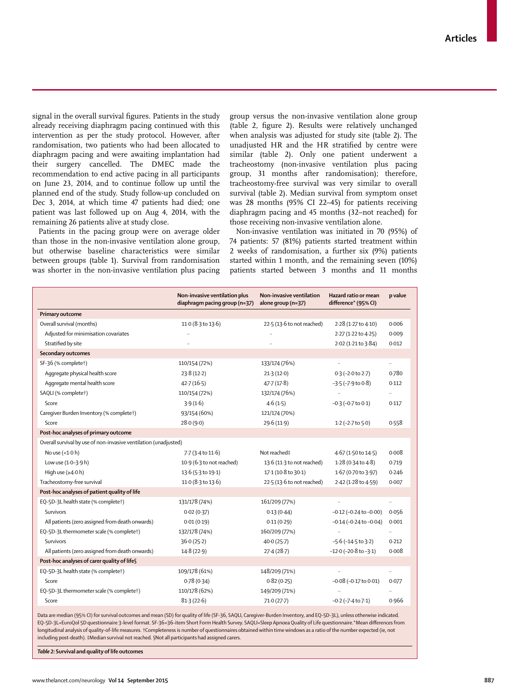signal in the overall survival figures. Patients in the study already receiving diaphragm pacing continued with this intervention as per the study protocol. However, after randomisation, two patients who had been allocated to diaphragm pacing and were awaiting implantation had their surgery cancelled. The DMEC made the recommendation to end active pacing in all participants on June 23, 2014, and to continue follow up until the planned end of the study. Study follow-up concluded on Dec 3, 2014, at which time 47 patients had died; one patient was last followed up on Aug 4, 2014, with the remaining 26 patients alive at study close.

Patients in the pacing group were on average older than those in the non-invasive ventilation alone group, but otherwise baseline characteristics were similar between groups (table 1). Survival from randomisation was shorter in the non-invasive ventilation plus pacing group versus the non-invasive ventilation alone group (table 2, figure 2). Results were relatively unchanged when analysis was adjusted for study site (table 2). The unadjusted HR and the HR stratified by centre were similar (table 2). Only one patient underwent a tracheostomy (non-invasive ventilation plus pacing group, 31 months after randomisation); therefore, tracheostomy-free survival was very similar to overall survival (table 2). Median survival from symptom onset was 28 months (95% CI 22–45) for patients receiving diaphragm pacing and 45 months (32–not reached) for those receiving non-invasive ventilation alone.

Non-invasive ventilation was initiated in 70 (95%) of 74 patients: 57 (81%) patients started treatment within 2 weeks of randomisation, a further six (9%) patients started within 1 month, and the remaining seven (10%) patients started between 3 months and 11 months

|                                                                  | Non-invasive ventilation plus<br>diaphragm pacing group (n=37) | Non-invasive ventilation<br>alone group (n=37) | Hazard ratio or mean<br>difference* (95% CI) | p value              |
|------------------------------------------------------------------|----------------------------------------------------------------|------------------------------------------------|----------------------------------------------|----------------------|
| <b>Primary outcome</b>                                           |                                                                |                                                |                                              |                      |
| Overall survival (months)                                        | 11.0 (8.3 to 13.6)                                             | 22.5 (13.6 to not reached)                     | 2.28 (1.27 to 4.10)                          | 0.006                |
| Adjusted for minimisation covariates                             |                                                                |                                                | 2.27 (1.22 to 4.25)                          | 0.009                |
| Stratified by site                                               |                                                                |                                                | 2.02 (1.21 to 3.84)                          | 0.012                |
| Secondary outcomes                                               |                                                                |                                                |                                              |                      |
| SF-36 (% complete†)                                              | 110/154 (72%)                                                  | 133/174 (76%)                                  |                                              |                      |
| Aggregate physical health score                                  | 23.8(12.2)                                                     | $21-3(12-0)$                                   | $0.3$ (-2.0 to 2.7)                          | 0.780                |
| Aggregate mental health score                                    | 42.7(16.5)                                                     | 47.7(17.8)                                     | $-3.5$ ( $-7.9$ to 0.8)                      | 0.112                |
| SAQLI (% complete†)                                              | 110/154 (72%)                                                  | 132/174 (76%)                                  |                                              |                      |
| Score                                                            | 3.9(1.6)                                                       | 4.6(1.5)                                       | $-0.3$ ( $-0.7$ to $0.1$ )                   | 0.117                |
| Caregiver Burden Inventory (% complete†)                         | 93/154 (60%)                                                   | 121/174 (70%)                                  |                                              |                      |
| Score                                                            | 28.0(9.0)                                                      | 29.6 (11.9)                                    | $1.2$ (-2.7 to $5.0$ )                       | 0.558                |
| Post-hoc analyses of primary outcome                             |                                                                |                                                |                                              |                      |
| Overall survival by use of non-invasive ventilation (unadjusted) |                                                                |                                                |                                              |                      |
| No use $(<1.0 h)$                                                | 7.7 (3.4 to 11.6)                                              | Not reached#                                   | 4.67 (1.50 to 14.5)                          | 0.008                |
| Low use $(1.0-3.9 h)$                                            | 10.9 (6.3 to not reached)                                      | 13.6 (11.3 to not reached)                     | 1.28 (0.34 to 4.8)                           | 0.719                |
| High use $(≥4.0 h)$                                              | 13.6 (5.3 to 19.1)                                             | 17.1 (10.8 to 30.1)                            | 1.67 (0.70 to 3.97)                          | 0.246                |
| Tracheostomy-free survival                                       | 11.0 (8.3 to 13.6)                                             | 22.5 (13.6 to not reached)                     | 2.42 (1.28 to 4.59)                          | 0.007                |
| Post-hoc analyses of patient quality of life                     |                                                                |                                                |                                              |                      |
| EQ-5D-3L health state (% complete†)                              | 131/178 (74%)                                                  | 161/209 (77%)                                  | $\ddotsc$                                    |                      |
| Survivors                                                        | 0.02(0.37)                                                     | 0.13(0.44)                                     | $-0.12$ ( $-0.24$ to $-0.00$ )               | 0.056                |
| All patients (zero assigned from death onwards)                  | 0.01(0.19)                                                     | 0.11(0.29)                                     | $-0.14 (-0.24 \text{ to } -0.04)$            | 0.001                |
| EQ-5D-3L thermometer scale (% complete†)                         | 132/178 (74%)                                                  | 160/209 (77%)                                  |                                              |                      |
| Survivors                                                        | 36.0(25.2)                                                     | 40.0(25.7)                                     | $-5.6$ ( $-14.5$ to $3.2$ )                  | 0.212                |
| All patients (zero assigned from death onwards)                  | 14.8(22.9)                                                     | 27.4(28.7)                                     | $-12.0$ ( $-20.8$ to $-3.1$ )                | 0.008                |
| Post-hoc analyses of carer quality of lifes                      |                                                                |                                                |                                              |                      |
| EQ-5D-3L health state (% complete†)                              | 109/178 (61%)                                                  | 148/209 (71%)                                  | $\ddotsc$                                    |                      |
| Score                                                            | 0.78(0.34)                                                     | 0.82(0.25)                                     | $-0.08$ ( $-0.17$ to $0.01$ )                | 0.077                |
| EQ-5D-3L thermometer scale (% complete†)                         | 110/178 (62%)                                                  | 149/209 (71%)                                  |                                              | $\ddot{\phantom{a}}$ |
| Score                                                            | 81.3(22.6)                                                     | 71.0 (27.7)                                    | $-0.2$ ( $-7.4$ to $7.1$ )                   | 0.966                |
|                                                                  |                                                                |                                                |                                              |                      |

Data are median (95% CI) for survival outcomes and mean (SD) for quality of life (SF-36, SAQLI, Caregiver-Burden Inventory, and EQ-5D-3L), unless otherwise indicated. EQ-5D-3L=EuroQol 5D questionnaire 3-level format. SF-36=36-item Short Form Health Survey. SAQLI=Sleep Apnoea Quality of Life questionnaire.\*Mean differences from longitudinal analysis of quality-of-life measures. †Completeness is number of questionnaires obtained within time windows as a ratio of the number expected (ie, not including post-death). ‡Median survival not reached. §Not all participants had assigned carers.

*Table 2:* **Survival and quality of life outcomes**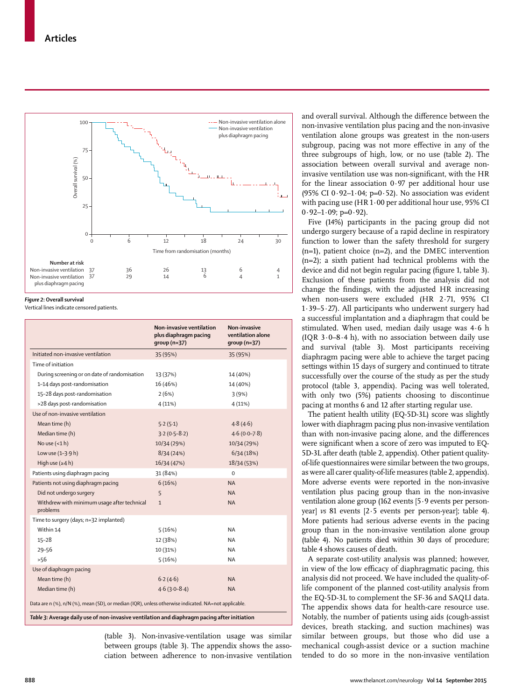

*Figure 2***: Overall survival**

Vertical lines indicate censored patients.

|                                                                                                     | Non-invasive ventilation<br>plus diaphragm pacing<br>$group(n=37)$ | Non-invasive<br>ventilation alone<br>$group(n=37)$ |
|-----------------------------------------------------------------------------------------------------|--------------------------------------------------------------------|----------------------------------------------------|
| Initiated non-invasive ventilation                                                                  | 35 (95%)                                                           | 35 (95%)                                           |
| Time of initiation                                                                                  |                                                                    |                                                    |
| During screening or on date of randomisation                                                        | 13 (37%)                                                           | 14 (40%)                                           |
| 1-14 days post-randomisation                                                                        | 16 (46%)                                                           | 14 (40%)                                           |
| 15-28 days post-randomisation                                                                       | 2(6%)                                                              | 3(9%)                                              |
| >28 days post-randomisation                                                                         | 4(11%)                                                             | 4(11%)                                             |
| Use of non-invasive ventilation                                                                     |                                                                    |                                                    |
| Mean time (h)                                                                                       | 5.2(5.1)                                                           | 4.8(4.6)                                           |
| Median time (h)                                                                                     | $3.2(0.5 - 8.2)$                                                   | $4.6(0.0 - 7.8)$                                   |
| No use $(<1 h)$                                                                                     | 10/34 (29%)                                                        | 10/34 (29%)                                        |
| Low use $(1-3.9 h)$                                                                                 | 8/34(24%)                                                          | 6/34(18%)                                          |
| High use $(\geq 4 h)$                                                                               | 16/34 (47%)                                                        | 18/34 (53%)                                        |
| Patients using diaphragm pacing                                                                     | 31 (84%)                                                           | $\mathbf 0$                                        |
| Patients not using diaphragm pacing                                                                 | 6(16%)                                                             | <b>NA</b>                                          |
| Did not undergo surgery                                                                             | 5                                                                  | <b>NA</b>                                          |
| Withdrew with minimum usage after technical<br>problems                                             | $\mathbf{1}$                                                       | <b>NA</b>                                          |
| Time to surgery (days; n=32 implanted)                                                              |                                                                    |                                                    |
| Within 14                                                                                           | 5(16%)                                                             | NA                                                 |
| $15 - 28$                                                                                           | 12 (38%)                                                           | <b>NA</b>                                          |
| 29-56                                                                                               | 10 (31%)                                                           | <b>NA</b>                                          |
| >56                                                                                                 | 5(16%)                                                             | <b>NA</b>                                          |
| Use of diaphragm pacing                                                                             |                                                                    |                                                    |
| Mean time (h)                                                                                       | 6.2(4.6)                                                           | <b>NA</b>                                          |
| Median time (h)                                                                                     | $4.6(3.0-8.4)$                                                     | <b>NA</b>                                          |
| Data are n (%), n/N (%), mean (SD), or median (IQR), unless otherwise indicated. NA=not applicable. |                                                                    |                                                    |
| Table 3: Average daily use of non-invasive ventilation and diaphragm pacing after initiation        |                                                                    |                                                    |

(table 3). Non-invasive-ventilation usage was similar between groups (table 3). The appendix shows the association between adherence to non-invasive ventilation

and overall survival. Although the difference between the non-invasive ventilation plus pacing and the non-invasive ventilation alone groups was greatest in the non-users subgroup, pacing was not more effective in any of the three subgroups of high, low, or no use (table 2). The association between overall survival and average noninvasive ventilation use was non-significant, with the HR for the linear association 0·97 per additional hour use (95% CI 0 $-$ 92-1 $-$ 04; p=0 $-$ 52). No association was evident with pacing use (HR  $1.00$  per additional hour use, 95% CI  $0.92-1.09$ ; p= $0.92$ ).

Five (14%) participants in the pacing group did not undergo surgery because of a rapid decline in respiratory function to lower than the safety threshold for surgery (n=1), patient choice (n=2), and the DMEC intervention (n=2); a sixth patient had technical problems with the device and did not begin regular pacing (figure 1, table 3). Exclusion of these patients from the analysis did not change the findings, with the adjusted HR increasing when non-users were excluded (HR 2·71, 95% CI 1·39–5·27). All participants who underwent surgery had a successful implantation and a diaphragm that could be stimulated. When used, median daily usage was 4·6 h (IQR  $3.0-8.4$  h), with no association between daily use and survival (table 3). Most participants receiving diaphragm pacing were able to achieve the target pacing settings within 15 days of surgery and continued to titrate successfully over the course of the study as per the study protocol (table 3, appendix). Pacing was well tolerated, with only two (5%) patients choosing to discontinue pacing at months 6 and 12 after starting regular use.

The patient health utility (EQ-5D-3L) score was slightly lower with diaphragm pacing plus non-invasive ventilation than with non-invasive pacing alone, and the differences were significant when a score of zero was imputed to EQ-5D-3L after death (table 2, appendix). Other patient qualityof-life questionnaires were similar between the two groups, as were all carer quality-of-life measures (table 2, appendix). More adverse events were reported in the non-invasive ventilation plus pacing group than in the non-invasive ventilation alone group (162 events [5 · 9 events per personyear] *vs* 81 events [2·5 events per person-year]; table 4). More patients had serious adverse events in the pacing group than in the non-invasive ventilation alone group (table 4). No patients died within 30 days of procedure; table 4 shows causes of death.

A separate cost-utility analysis was planned; however, in view of the low efficacy of diaphragmatic pacing, this analysis did not proceed. We have included the quality-oflife component of the planned cost-utility analysis from the EQ-5D-3L to complement the SF-36 and SAQLI data. The appendix shows data for health-care resource use. Notably, the number of patients using aids (cough-assist devices, breath stacking, and suction machines) was similar between groups, but those who did use a mechanical cough-assist device or a suction machine tended to do so more in the non-invasive ventilation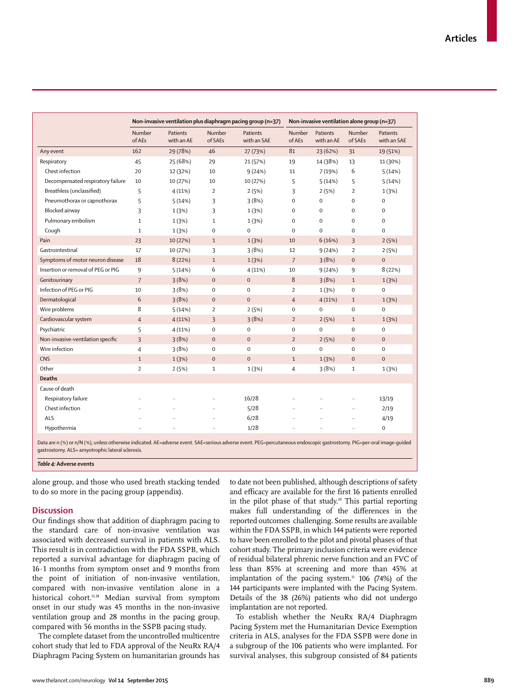|                                    | Number<br>of AEs | <b>Patients</b><br>with an AE | Number<br>of SAEs | Patients<br>with an SAE | Number<br>of AEs | Patients<br>with an AE | Number<br>of SAEs | <b>Patients</b><br>with an SAE |
|------------------------------------|------------------|-------------------------------|-------------------|-------------------------|------------------|------------------------|-------------------|--------------------------------|
| Any event                          | 162              | 29 (78%)                      | 46                | 27 (73%)                | 81               | 23 (62%)               | 31                | 19 (51%)                       |
| Respiratory                        | 45               | 25 (68%)                      | 29                | 21 (57%)                | 19               | 14 (38%)               | 13                | 11 (30%)                       |
| Chest infection                    | 20               | 12 (32%)                      | 10                | 9(24%)                  | 11               | 7(19%)                 | 6                 | 5(14%)                         |
| Decompensated respiratory failure  | 10               | 10 (27%)                      | 10                | 10 (27%)                | 5                | 5(14%)                 | 5                 | 5(14%)                         |
| Breathless (unclassified)          | 5                | 4(11%)                        | $\overline{2}$    | 2(5%)                   | 3                | 2(5%)                  | $\overline{2}$    | 1(3%)                          |
| Pneumothorax or capnothorax        | 5                | 5(14%)                        | $\overline{3}$    | 3(8%)                   | $\mathbf 0$      | $\mathbf 0$            | $\Omega$          | $\mathbf 0$                    |
| Blocked airway                     | 3                | 1(3%)                         | 3                 | 1(3%)                   | $\mathbf 0$      | $\mathbf 0$            | $\mathbf 0$       | $\mathbf 0$                    |
| Pulmonary embolism                 | $\mathbf{1}$     | 1(3%)                         | $\mathbf{1}$      | 1(3%)                   | $\mathbf 0$      | $\Omega$               | $\Omega$          | $\mathbf 0$                    |
| Cough                              | $1\,$            | 1(3%)                         | $\mathbf 0$       | $\mathbf 0$             | $\mathbf 0$      | $\mathbf 0$            | $\mathbf 0$       | $\mathbf 0$                    |
| Pain                               | 23               | 10 (27%)                      | $\mathbf{1}$      | 1(3%)                   | 10               | 6(16%)                 | $\overline{3}$    | 2(5%)                          |
| Gastrointestinal                   | 17               | 10 (27%)                      | $\overline{3}$    | 3(8%)                   | 12               | 9(24%)                 | $\overline{2}$    | 2(5%)                          |
| Symptoms of motor neuron disease   | 18               | 8(22%)                        | $\mathbf{1}$      | 1(3%)                   | $\overline{7}$   | 3(8%)                  | $\mathbf{0}$      | $\mathbf{0}$                   |
| Insertion or removal of PEG or PIG | 9                | 5(14%)                        | 6                 | 4(11%)                  | 10               | 9(24%)                 | 9                 | 8(22%)                         |
| Genitourinary                      | $\overline{7}$   | 3(8%)                         | $\overline{0}$    | $\mathbf{0}$            | 8                | 3(8%)                  | $\mathbf{1}$      | 1(3%)                          |
| Infection of PEG or PIG            | 10               | 3(8%)                         | $\mathbf 0$       | $\mathsf 0$             | $\overline{2}$   | 1(3%)                  | $\mathsf 0$       | $\mathbf 0$                    |
| Dermatological                     | 6                | 3(8%)                         | $\overline{0}$    | $\mathbf{0}$            | $\overline{4}$   | 4(11%)                 | $\mathbf{1}$      | 1(3%)                          |
| Wire problems                      | 8                | 5(14%)                        | $\overline{2}$    | 2(5%)                   | $\mathbf 0$      | $\mathbf 0$            | $\mathbf 0$       | $\mathbf 0$                    |
| Cardiovascular system              | $\overline{4}$   | 4(11%)                        | $\overline{3}$    | 3(8%)                   | $\overline{2}$   | 2(5%)                  | $\mathbf{1}$      | 1(3%)                          |
| Psychiatric                        | 5                | 4(11%)                        | $\mathbf 0$       | $\mathbf 0$             | $\mathbf 0$      | $\mathbf 0$            | $\mathbf 0$       | $\mathbf 0$                    |
| Non-invasive-ventilation specific  | $\overline{3}$   | 3(8%)                         | $\overline{0}$    | $\pmb{0}$               | $\overline{2}$   | 2(5%)                  | $\mathbf{0}$      | $\mathbf{0}$                   |
| Wire infection                     | $\overline{4}$   | 3(8%)                         | $\mathbf 0$       | $\mathbf 0$             | $\mathbf 0$      | $\Omega$               | $\mathbf 0$       | $\mathbf 0$                    |
| <b>CNS</b>                         | $\mathbf{1}$     | 1(3%)                         | $\mathbf{0}$      | $\mathbf{0}$            | $\mathbf{1}$     | 1(3%)                  | $\mathbf{0}$      | $\mathbf{0}$                   |
| Other                              | $\overline{2}$   | 2(5%)                         | $\mathbf{1}$      | 1(3%)                   | $\overline{4}$   | 3(8%)                  | $\mathbf{1}$      | 1(3%)                          |
| <b>Deaths</b>                      |                  |                               |                   |                         |                  |                        |                   |                                |
| Cause of death                     |                  |                               |                   |                         |                  |                        |                   |                                |
| Respiratory failure                |                  |                               |                   | 16/28                   |                  |                        |                   | 13/19                          |
| Chest infection                    |                  |                               |                   | 5/28                    |                  |                        |                   | 2/19                           |
| ALS                                |                  |                               | $\ddotsc$         | 6/28                    |                  |                        | $\ddotsc$         | 4/19                           |
| Hypothermia                        |                  |                               |                   | 1/28                    |                  |                        |                   | $\mathbf 0$                    |

*Table 4:* **Adverse events**

alone group, and those who used breath stacking tended to do so more in the pacing group (appendix).

# **Discussion**

Our findings show that addition of diaphragm pacing to the standard care of non-invasive ventilation was associated with decreased survival in patients with ALS. This result is in contradiction with the FDA SSPB, which reported a survival advantage for diaphragm pacing of 16·1 months from symptom onset and 9 months from the point of initiation of non-invasive ventilation, compared with non-invasive ventilation alone in a historical cohort.<sup>11,18</sup> Median survival from symptom onset in our study was 45 months in the non-invasive ventilation group and 28 months in the pacing group, compared with 56 months in the SSPB pacing study.

The complete dataset from the uncontrolled multicentre cohort study that led to FDA approval of the NeuRx RA/4 Diaphragm Pacing System on humanitarian grounds has to date not been published, although descriptions of safety and efficacy are available for the first 16 patients enrolled in the pilot phase of that study.19 This partial reporting makes full understanding of the differences in the reported outcomes challenging. Some results are available within the FDA SSPB, in which 144 patients were reported to have been enrolled to the pilot and pivotal phases of that cohort study. The primary inclusion criteria were evidence of residual bilateral phrenic nerve function and an FVC of less than 85% at screening and more than 45% at implantation of the pacing system. $11$  106 (74%) of the 144 participants were implanted with the Pacing System. Details of the 38 (26%) patients who did not undergo implantation are not reported.

To establish whether the NeuRx RA/4 Diaphragm Pacing System met the Humanitarian Device Exemption criteria in ALS, analyses for the FDA SSPB were done in a subgroup of the 106 patients who were implanted. For survival analyses, this subgroup consisted of 84 patients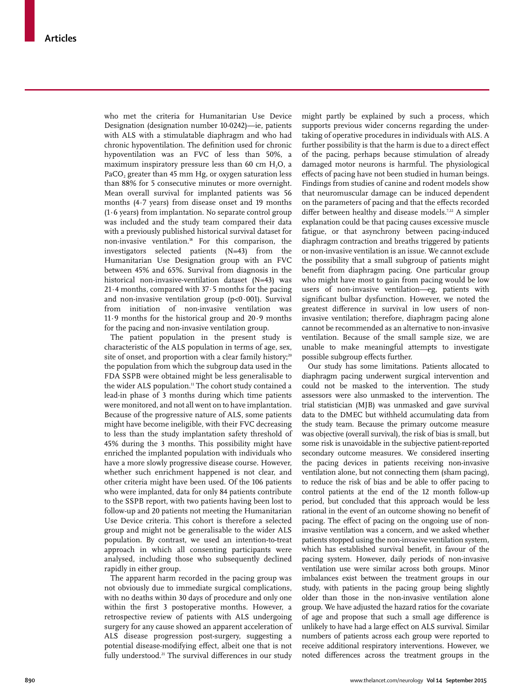who met the criteria for Humanitarian Use Device Designation (designation number 10-0242)—ie, patients with ALS with a stimulatable diaphragm and who had chronic hypoventilation. The definition used for chronic hypoventilation was an FVC of less than 50%, a maximum inspiratory pressure less than 60 cm  $H_2O$ , a PaCO<sub>2</sub> greater than 45 mm Hg, or oxygen saturation less than 88% for 5 consecutive minutes or more overnight. Mean overall survival for implanted patients was 56 months (4·7 years) from disease onset and 19 months (1·6 years) from implantation. No separate control group was included and the study team compared their data with a previously published historical survival dataset for non-invasive ventilation.18 For this comparison, the investigators selected patients (N=43) from the Humanitarian Use Designation group with an FVC between 45% and 65%. Survival from diagnosis in the historical non-invasive-ventilation dataset (N=43) was 21·4 months, compared with 37·5 months for the pacing and non-invasive ventilation group ( $p < 0.001$ ). Survival from initiation of non-invasive ventilation was 11·9 months for the historical group and 20·9 months for the pacing and non-invasive ventilation group.

The patient population in the present study is characteristic of the ALS population in terms of age, sex, site of onset, and proportion with a clear family history;<sup>20</sup> the population from which the subgroup data used in the FDA SSPB were obtained might be less generalisable to the wider ALS population.<sup>11</sup> The cohort study contained a lead-in phase of 3 months during which time patients were monitored, and not all went on to have implantation. Because of the progressive nature of ALS, some patients might have become ineligible, with their FVC decreasing to less than the study implantation safety threshold of 45% during the 3 months. This possibility might have enriched the implanted population with individuals who have a more slowly progressive disease course. However, whether such enrichment happened is not clear, and other criteria might have been used. Of the 106 patients who were implanted, data for only 84 patients contribute to the SSPB report, with two patients having been lost to follow-up and 20 patients not meeting the Humanitarian Use Device criteria. This cohort is therefore a selected group and might not be generalisable to the wider ALS population. By contrast, we used an intention-to-treat approach in which all consenting participants were analysed, including those who subsequently declined rapidly in either group.

The apparent harm recorded in the pacing group was not obviously due to immediate surgical complications, with no deaths within 30 days of procedure and only one within the first 3 postoperative months. However, a retrospective review of patients with ALS undergoing surgery for any cause showed an apparent acceleration of ALS disease progression post-surgery, suggesting a potential disease-modifying effect, albeit one that is not fully understood.<sup>21</sup> The survival differences in our study might partly be explained by such a process, which supports previous wider concerns regarding the undertaking of operative procedures in individuals with ALS. A further possibility is that the harm is due to a direct effect of the pacing, perhaps because stimulation of already damaged motor neurons is harmful. The physiological effects of pacing have not been studied in human beings. Findings from studies of canine and rodent models show that neuromuscular damage can be induced dependent on the parameters of pacing and that the effects recorded differ between healthy and disease models.<sup>7,22</sup> A simpler explanation could be that pacing causes excessive muscle fatigue, or that asynchrony between pacing-induced diaphragm contraction and breaths triggered by patients or non-invasive ventilation is an issue. We cannot exclude the possibility that a small subgroup of patients might benefit from diaphragm pacing. One particular group who might have most to gain from pacing would be low users of non-invasive ventilation—eg, patients with significant bulbar dysfunction. However, we noted the greatest difference in survival in low users of noninvasive ventilation; therefore, diaphragm pacing alone cannot be recom mended as an alternative to non-invasive ventilation. Because of the small sample size, we are unable to make meaningful attempts to investigate possible subgroup effects further.

Our study has some limitations. Patients allocated to diaphragm pacing underwent surgical intervention and could not be masked to the intervention. The study assessors were also unmasked to the intervention. The trial statistician (MJB) was unmasked and gave survival data to the DMEC but withheld accumulating data from the study team. Because the primary outcome measure was objective (overall survival), the risk of bias is small, but some risk is unavoidable in the subjective patient-reported secondary outcome measures. We considered inserting the pacing devices in patients receiving non-invasive ventilation alone, but not connecting them (sham pacing), to reduce the risk of bias and be able to offer pacing to control patients at the end of the 12 month follow-up period, but concluded that this approach would be less rational in the event of an outcome showing no benefit of pacing. The effect of pacing on the ongoing use of noninvasive ventilation was a concern, and we asked whether patients stopped using the non-invasive ventilation system, which has established survival benefit, in favour of the pacing system. However, daily periods of non-invasive ventilation use were similar across both groups. Minor imbalances exist between the treatment groups in our study, with patients in the pacing group being slightly older than those in the non-invasive ventilation alone group. We have adjusted the hazard ratios for the covariate of age and propose that such a small age difference is unlikely to have had a large effect on ALS survival. Similar numbers of patients across each group were reported to receive additional respiratory interventions. However, we noted differences across the treatment groups in the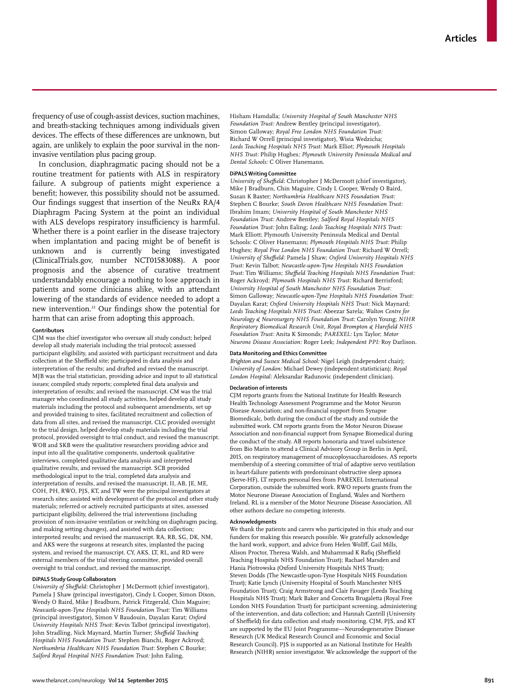frequency of use of cough-assist devices, suction machines, and breath-stacking techniques among individuals given devices. The effects of these differences are unknown, but again, are unlikely to explain the poor survival in the noninvasive ventilation plus pacing group.

In conclusion, diaphragmatic pacing should not be a routine treatment for patients with ALS in respiratory failure. A subgroup of patients might experience a benefit; however, this possibility should not be assumed. Our findings suggest that insertion of the NeuRx RA/4 Diaphragm Pacing System at the point an individual with ALS develops respiratory insufficiency is harmful. Whether there is a point earlier in the disease trajectory when implantation and pacing might be of benefit is unknown and is currently being investigated (ClinicalTrials.gov, number NCT01583088). A poor prognosis and the absence of curative treatment understandably encourage a nothing to lose approach in patients and some clinicians alike, with an attendant lowering of the standards of evidence needed to adopt a new intervention.<sup>23</sup> Our findings show the potential for harm that can arise from adopting this approach.

## **Contributors**

CJM was the chief investigator who oversaw all study conduct; helped develop all study materials including the trial protocol; assessed participant eligibility, and assisted with participant recruitment and data collection at the Sheffield site; participated in data analysis and interpretation of the results; and drafted and revised the manuscript. MJB was the trial statistician, providing advice and input to all statistical issues; compiled study reports; completed final data analysis and interpretation of results; and revised the manuscript. CM was the trial manager who coordinated all study activities, helped develop all study materials including the protocol and subsequent amendments, set up and provided training to sites, facilitated recruitment and collection of data from all sites, and revised the manuscript. CLC provided oversight to the trial design, helped develop study materials including the trial protocol, provided oversight to trial conduct, and revised the manuscript. WOB and SKB were the qualitative researchers providing advice and input into all the qualitative components, undertook qualitative interviews, completed qualitative data analysis and interpreted qualitative results, and revised the manuscript. SCB provided methodological input to the trial, completed data analysis and interpretation of results, and revised the manuscript. II, AB, JE, ME, COH, PH, RWO, PJS, KT, and TW were the principal investigators at research sites; assisted with development of the protocol and other study materials; referred or actively recruited participants at sites, assessed participant eligibility, delivered the trial interventions (including provision of non-invasive ventilation or switching on diaphragm pacing, and making setting changes), and assisted with data collection; interpreted results; and revised the manuscript. RA, RB, SG, DK, NM, and AKS were the surgeons at research sites, implanted the pacing system, and revised the manuscript. CY, AKS, LT, RL, and RD were external members of the trial steering committee, provided overall oversight to trial conduct, and revised the manuscript.

## **DiPALS Study Group Collaborators**

*University of Sheffield: Christopher J McDermott (chief investigator),* Pamela J Shaw (principal investigator), Cindy L Cooper, Simon Dixon, Wendy O Baird, Mike J Bradburn, Patrick Fitzgerald, Chin Maguire; *Newcastle-upon-Tyne Hospitals NHS Foundation Trust:* Tim Williams (principal investigator), Simon V Baudouin, Dayalan Karat; *Oxford University Hospitals NHS Trust:* Kevin Talbot (principal investigator), John Stradling, Nick Maynard, Martin Turner; *Sheffield Teaching Hospitals NHS Foundation Trust*: Stephen Bianchi, Roger Ackroyd; *Northumbria Healthcare NHS Foundation Trust*: Stephen C Bourke; *Salford Royal Hospital NHS Foundation Trust:* John Ealing,

Hisham Hamdalla; *University Hospital of South Manchester NHS Foundation Trust:* Andrew Bentley (principal investigator), Simon Galloway; *Royal Free London NHS Foundation Trust:*  Richard W Orrell (principal investigator)*,* Wisia Wedzicha; *Leeds Teaching Hospitals NHS Trust:* Mark Elliot; *Plymouth Hospitals NHS Trust:* Philip Hughes*; Plymouth University Peninsula Medical and Dental Schools:* C Oliver Hanemann.

## **DiPALS Writing Committee**

University of Sheffield: Christopher J McDermott (chief investigator), Mike J Bradburn, Chin Maguire, Cindy L Cooper, Wendy O Baird, Susan K Baxter; *Northumbria Healthcare NHS Foundation Trust:*  Stephen C Bourke; *South Devon Healthcare NHS Foundation Trust:*  Ibrahim Imam; *University Hospital of South Manchester NHS Foundation Trust:* Andrew Bentley; *Salford Royal Hospitals NHS Foundation Trust:* John Ealing; *Leeds Teaching Hospitals NHS Trust:*  Mark Elliott; Plymouth University Peninsula Medical and Dental Schools: C Oliver Hanemann; *Plymouth Hospitals NHS Trust:* Philip Hughes; *Royal Free London NHS Foundation Trust:* Richard W Orrell; *University of Sheffield: Pamela J Shaw; Oxford University Hospitals NHS Trust:* Kevin Talbot; *Newcastle-upon-Tyne Hospitals NHS Foundation Trust: Tim Williams; Sheffield Teaching Hospitals NHS Foundation Trust:* Roger Ackroyd; *Plymouth Hospitals NHS Trust:* Richard Berrisford; *University Hospital of South Manchester NHS Foundation Trust:*  Simon Galloway; *Newcastle-upon-Tyne Hospitals NHS Foundation Trust:*  Dayalan Karat; *Oxford University Hospitals NHS Trust:* Nick Maynard; *Leeds Teaching Hospitals NHS Trust:* Abeezar Sarela; *Walton Centre for Neurology & Neurosurgery NHS Foundation Trust:* Carolyn Young; *NIHR Respiratory Biomedical Research Unit, Royal Brompton & Harefield NHS Foundation Trust:* Anita K Simonds; *PAREXEL:* Lyn Taylor; *Motor Neurone Disease Association:* Roger Leek; *Independent PPI:* Roy Darlison.

## **Data Monitoring and Ethics Committee**

*Brighton and Sussex Medical School:* Nigel Leigh (independent chair); *University of London:* Michael Dewey (independent statistician); *Royal London Hospital:* Aleksandar Radunovic (independent clinician).

#### **Declaration of interests**

CJM reports grants from the National Institute for Health Research Health Technology Assessment Programme and the Motor Neuron Disease Association; and non-financial support from Synapse Biomedicalc, both during the conduct of the study and outside the submitted work. CM reports grants from the Motor Neuron Disease Association and non-financial support from Synapse Biomedical during the conduct of the study. AB reports honoraria and travel subsistence from Bio Marin to attend a Clinical Advisory Group in Berlin in April, 2015, on respiratory management of mucoploysaccharoidoses. AS reports membership of a steering committee of trial of adaptive servo ventilation in heart-failure patients with predominant obstructive sleep apnoea (Serve-HF). LT reports personal fees from PAREXEL International Corporation, outside the submitted work. RWO reports grants from the Motor Neurone Disease Association of England, Wales and Northern Ireland. RL is a member of the Motor Neurone Disease Association. All other authors declare no competing interests.

## **Acknowledgments**

We thank the patients and carers who participated in this study and our funders for making this research possible. We gratefully acknowledge the hard work, support, and advice from Helen Wollff, Gail Mills, Alison Proctor, Theresa Walsh, and Muhammad K Rafiq (Sheffield Teaching Hospitals NHS Foundation Trust); Rachael Marsden and Hania Piotrowska (Oxford University Hospitals NHS Trust); Steven Dodds (The Newcastle-upon-Tyne Hospitals NHS Foundation Trust); Katie Lynch (University Hospital of South Manchester NHS Foundation Trust); Craig Armstrong and Clair Favager (Leeds Teaching Hospitals NHS Trust); Mark Baker and Concetta Brugaletta (Royal Free London NHS Foundation Trust) for participant screening, administering of the intervention, and data collection; and Hannah Cantrill (University of Sheffield) for data collection and study monitoring. CIM, PIS, and KT are supported by the EU Joint Programme—Neurodegenerative Disease Research (UK Medical Research Council and Economic and Social Research Council). PJS is supported as an National Institute for Health Research (NIHR) senior investigator. We acknowledge the support of the